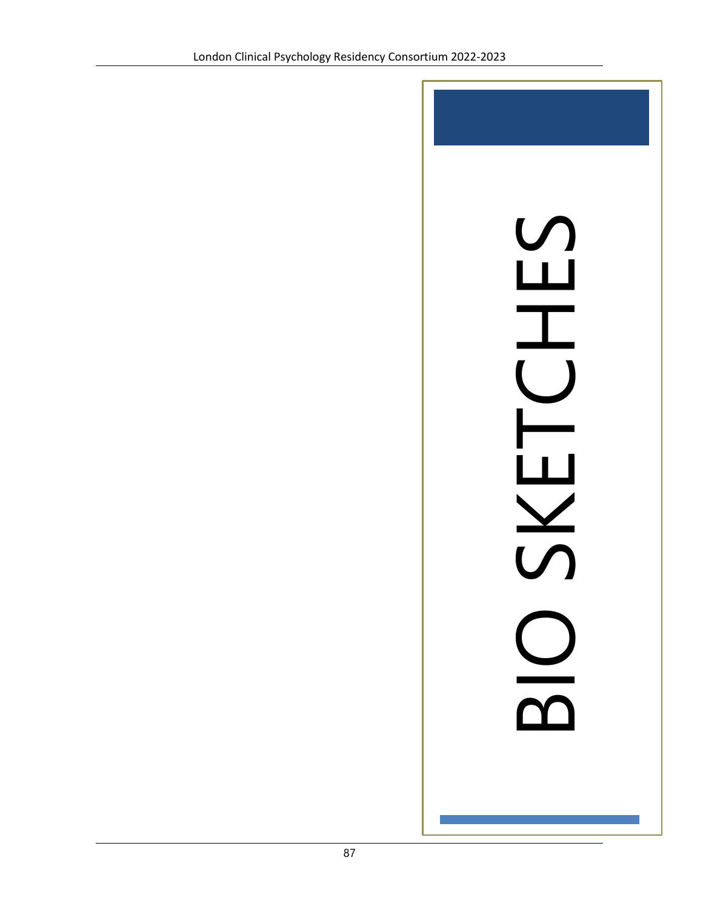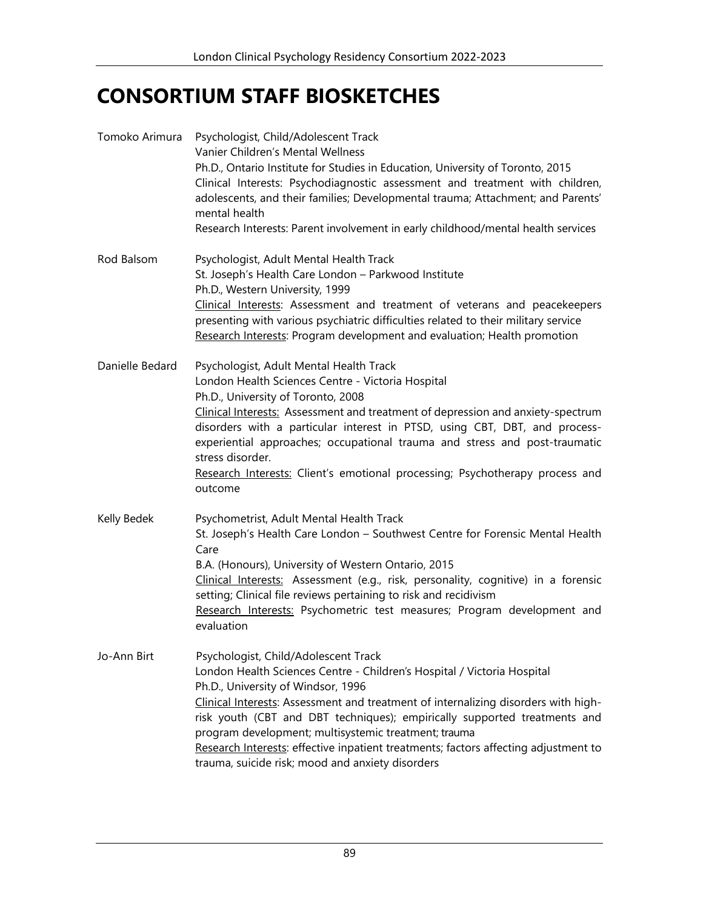## **CONSORTIUM STAFF BIOSKETCHES**

| Tomoko Arimura  | Psychologist, Child/Adolescent Track<br>Vanier Children's Mental Wellness<br>Ph.D., Ontario Institute for Studies in Education, University of Toronto, 2015<br>Clinical Interests: Psychodiagnostic assessment and treatment with children,<br>adolescents, and their families; Developmental trauma; Attachment; and Parents'<br>mental health<br>Research Interests: Parent involvement in early childhood/mental health services                                                                                         |
|-----------------|-----------------------------------------------------------------------------------------------------------------------------------------------------------------------------------------------------------------------------------------------------------------------------------------------------------------------------------------------------------------------------------------------------------------------------------------------------------------------------------------------------------------------------|
| Rod Balsom      | Psychologist, Adult Mental Health Track<br>St. Joseph's Health Care London - Parkwood Institute<br>Ph.D., Western University, 1999<br>Clinical Interests: Assessment and treatment of veterans and peacekeepers<br>presenting with various psychiatric difficulties related to their military service<br>Research Interests: Program development and evaluation; Health promotion                                                                                                                                           |
| Danielle Bedard | Psychologist, Adult Mental Health Track<br>London Health Sciences Centre - Victoria Hospital<br>Ph.D., University of Toronto, 2008<br>Clinical Interests: Assessment and treatment of depression and anxiety-spectrum<br>disorders with a particular interest in PTSD, using CBT, DBT, and process-<br>experiential approaches; occupational trauma and stress and post-traumatic<br>stress disorder.<br>Research Interests: Client's emotional processing; Psychotherapy process and<br>outcome                            |
| Kelly Bedek     | Psychometrist, Adult Mental Health Track<br>St. Joseph's Health Care London - Southwest Centre for Forensic Mental Health<br>Care<br>B.A. (Honours), University of Western Ontario, 2015<br>Clinical Interests: Assessment (e.g., risk, personality, cognitive) in a forensic<br>setting; Clinical file reviews pertaining to risk and recidivism<br>Research Interests: Psychometric test measures; Program development and<br>evaluation                                                                                  |
| Jo-Ann Birt     | Psychologist, Child/Adolescent Track<br>London Health Sciences Centre - Children's Hospital / Victoria Hospital<br>Ph.D., University of Windsor, 1996<br>Clinical Interests: Assessment and treatment of internalizing disorders with high-<br>risk youth (CBT and DBT techniques); empirically supported treatments and<br>program development; multisystemic treatment; trauma<br>Research Interests: effective inpatient treatments; factors affecting adjustment to<br>trauma, suicide risk; mood and anxiety disorders |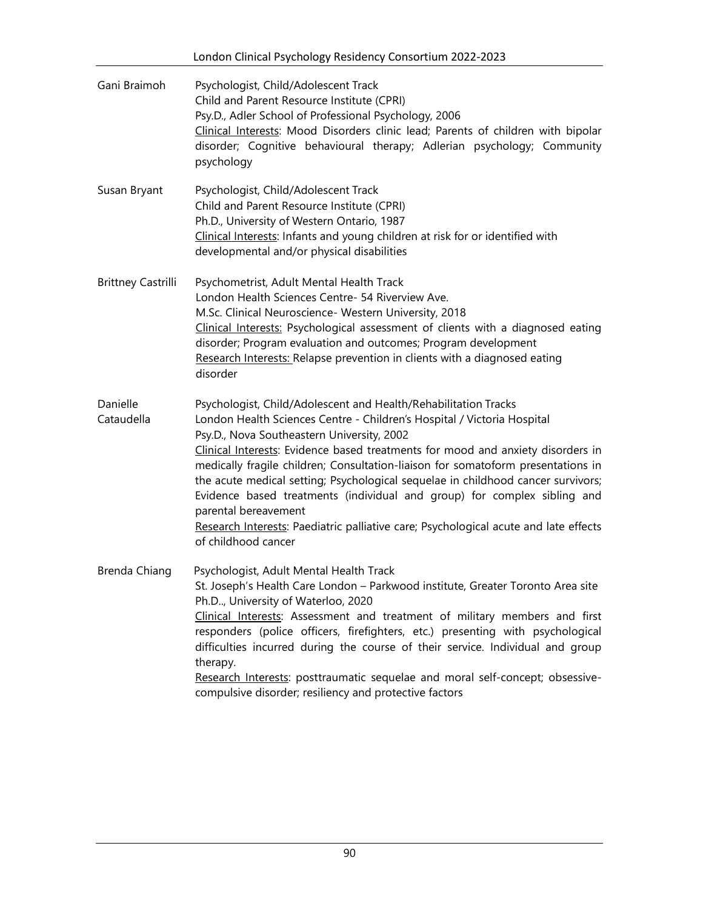|                           | London Clinical Psychology Residency Consortium 2022-2023                                                                                                                                                                                                                                                                                                                                                                                                                                                                                                                                                                                                              |
|---------------------------|------------------------------------------------------------------------------------------------------------------------------------------------------------------------------------------------------------------------------------------------------------------------------------------------------------------------------------------------------------------------------------------------------------------------------------------------------------------------------------------------------------------------------------------------------------------------------------------------------------------------------------------------------------------------|
| Gani Braimoh              | Psychologist, Child/Adolescent Track<br>Child and Parent Resource Institute (CPRI)<br>Psy.D., Adler School of Professional Psychology, 2006<br>Clinical Interests: Mood Disorders clinic lead; Parents of children with bipolar<br>disorder; Cognitive behavioural therapy; Adlerian psychology; Community<br>psychology                                                                                                                                                                                                                                                                                                                                               |
| Susan Bryant              | Psychologist, Child/Adolescent Track<br>Child and Parent Resource Institute (CPRI)<br>Ph.D., University of Western Ontario, 1987<br>Clinical Interests: Infants and young children at risk for or identified with<br>developmental and/or physical disabilities                                                                                                                                                                                                                                                                                                                                                                                                        |
| <b>Brittney Castrilli</b> | Psychometrist, Adult Mental Health Track<br>London Health Sciences Centre- 54 Riverview Ave.<br>M.Sc. Clinical Neuroscience- Western University, 2018<br>Clinical Interests: Psychological assessment of clients with a diagnosed eating<br>disorder; Program evaluation and outcomes; Program development<br>Research Interests: Relapse prevention in clients with a diagnosed eating<br>disorder                                                                                                                                                                                                                                                                    |
| Danielle<br>Cataudella    | Psychologist, Child/Adolescent and Health/Rehabilitation Tracks<br>London Health Sciences Centre - Children's Hospital / Victoria Hospital<br>Psy.D., Nova Southeastern University, 2002<br>Clinical Interests: Evidence based treatments for mood and anxiety disorders in<br>medically fragile children; Consultation-liaison for somatoform presentations in<br>the acute medical setting; Psychological sequelae in childhood cancer survivors;<br>Evidence based treatments (individual and group) for complex sibling and<br>parental bereavement<br>Research Interests: Paediatric palliative care; Psychological acute and late effects<br>of childhood cancer |
| Brenda Chiang             | Psychologist, Adult Mental Health Track<br>St. Joseph's Health Care London - Parkwood institute, Greater Toronto Area site<br>Ph.D., University of Waterloo, 2020<br>Clinical Interests: Assessment and treatment of military members and first<br>responders (police officers, firefighters, etc.) presenting with psychological<br>difficulties incurred during the course of their service. Individual and group<br>therapy.<br>Research Interests: posttraumatic sequelae and moral self-concept; obsessive-<br>compulsive disorder; resiliency and protective factors                                                                                             |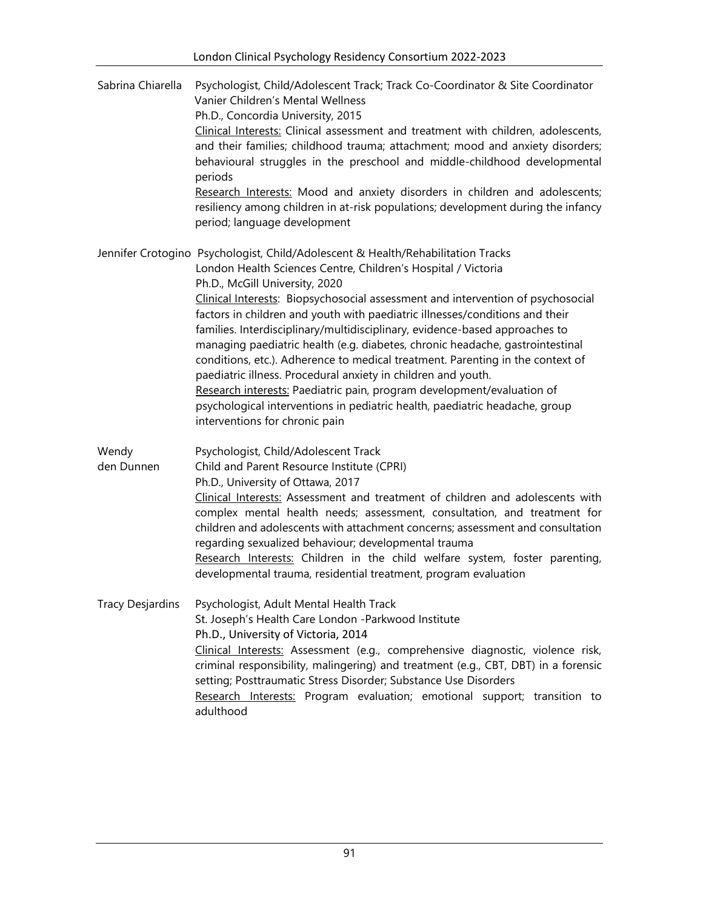| Sabrina Chiarella       | Psychologist, Child/Adolescent Track; Track Co-Coordinator & Site Coordinator<br>Vanier Children's Mental Wellness<br>Ph.D., Concordia University, 2015<br>Clinical Interests: Clinical assessment and treatment with children, adolescents,<br>and their families; childhood trauma; attachment; mood and anxiety disorders;<br>behavioural struggles in the preschool and middle-childhood developmental<br>periods<br>Research Interests: Mood and anxiety disorders in children and adolescents;<br>resiliency among children in at-risk populations; development during the infancy<br>period; language development                                                                                                                                                                                                                                             |
|-------------------------|----------------------------------------------------------------------------------------------------------------------------------------------------------------------------------------------------------------------------------------------------------------------------------------------------------------------------------------------------------------------------------------------------------------------------------------------------------------------------------------------------------------------------------------------------------------------------------------------------------------------------------------------------------------------------------------------------------------------------------------------------------------------------------------------------------------------------------------------------------------------|
|                         | Jennifer Crotogino Psychologist, Child/Adolescent & Health/Rehabilitation Tracks<br>London Health Sciences Centre, Children's Hospital / Victoria<br>Ph.D., McGill University, 2020<br>Clinical Interests: Biopsychosocial assessment and intervention of psychosocial<br>factors in children and youth with paediatric illnesses/conditions and their<br>families. Interdisciplinary/multidisciplinary, evidence-based approaches to<br>managing paediatric health (e.g. diabetes, chronic headache, gastrointestinal<br>conditions, etc.). Adherence to medical treatment. Parenting in the context of<br>paediatric illness. Procedural anxiety in children and youth.<br>Research interests: Paediatric pain, program development/evaluation of<br>psychological interventions in pediatric health, paediatric headache, group<br>interventions for chronic pain |
| Wendy<br>den Dunnen     | Psychologist, Child/Adolescent Track<br>Child and Parent Resource Institute (CPRI)<br>Ph.D., University of Ottawa, 2017<br>Clinical Interests: Assessment and treatment of children and adolescents with<br>complex mental health needs; assessment, consultation, and treatment for<br>children and adolescents with attachment concerns; assessment and consultation<br>regarding sexualized behaviour; developmental trauma<br>Research Interests: Children in the child welfare system, foster parenting,<br>developmental trauma, residential treatment, program evaluation                                                                                                                                                                                                                                                                                     |
| <b>Tracy Desjardins</b> | Psychologist, Adult Mental Health Track<br>St. Joseph's Health Care London -Parkwood Institute<br>Ph.D., University of Victoria, 2014<br>Clinical Interests: Assessment (e.g., comprehensive diagnostic, violence risk,<br>criminal responsibility, malingering) and treatment (e.g., CBT, DBT) in a forensic<br>setting; Posttraumatic Stress Disorder; Substance Use Disorders<br>Research Interests: Program evaluation; emotional support; transition to<br>adulthood                                                                                                                                                                                                                                                                                                                                                                                            |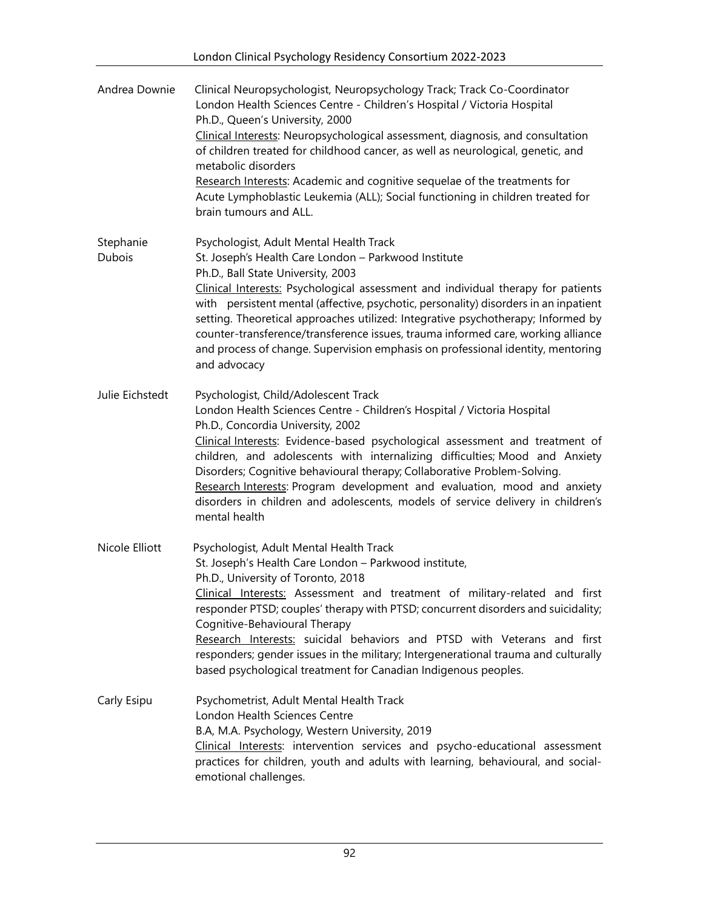| Andrea Downie              | Clinical Neuropsychologist, Neuropsychology Track; Track Co-Coordinator<br>London Health Sciences Centre - Children's Hospital / Victoria Hospital<br>Ph.D., Queen's University, 2000<br>Clinical Interests: Neuropsychological assessment, diagnosis, and consultation<br>of children treated for childhood cancer, as well as neurological, genetic, and<br>metabolic disorders<br>Research Interests: Academic and cognitive sequelae of the treatments for<br>Acute Lymphoblastic Leukemia (ALL); Social functioning in children treated for<br>brain tumours and ALL.                   |
|----------------------------|----------------------------------------------------------------------------------------------------------------------------------------------------------------------------------------------------------------------------------------------------------------------------------------------------------------------------------------------------------------------------------------------------------------------------------------------------------------------------------------------------------------------------------------------------------------------------------------------|
| Stephanie<br><b>Dubois</b> | Psychologist, Adult Mental Health Track<br>St. Joseph's Health Care London - Parkwood Institute<br>Ph.D., Ball State University, 2003<br>Clinical Interests: Psychological assessment and individual therapy for patients<br>with persistent mental (affective, psychotic, personality) disorders in an inpatient<br>setting. Theoretical approaches utilized: Integrative psychotherapy; Informed by<br>counter-transference/transference issues, trauma informed care, working alliance<br>and process of change. Supervision emphasis on professional identity, mentoring<br>and advocacy |
| Julie Eichstedt            | Psychologist, Child/Adolescent Track<br>London Health Sciences Centre - Children's Hospital / Victoria Hospital<br>Ph.D., Concordia University, 2002<br>Clinical Interests: Evidence-based psychological assessment and treatment of<br>children, and adolescents with internalizing difficulties; Mood and Anxiety<br>Disorders; Cognitive behavioural therapy; Collaborative Problem-Solving.<br>Research Interests: Program development and evaluation, mood and anxiety<br>disorders in children and adolescents, models of service delivery in children's<br>mental health              |
| Nicole Elliott             | Psychologist, Adult Mental Health Track<br>St. Joseph's Health Care London - Parkwood institute,<br>Ph.D., University of Toronto, 2018<br>Clinical Interests: Assessment and treatment of military-related and first<br>responder PTSD; couples' therapy with PTSD; concurrent disorders and suicidality;<br>Cognitive-Behavioural Therapy<br>Research Interests: suicidal behaviors and PTSD with Veterans and first<br>responders; gender issues in the military; Intergenerational trauma and culturally<br>based psychological treatment for Canadian Indigenous peoples.                |
| Carly Esipu                | Psychometrist, Adult Mental Health Track<br>London Health Sciences Centre<br>B.A, M.A. Psychology, Western University, 2019<br>Clinical Interests: intervention services and psycho-educational assessment<br>practices for children, youth and adults with learning, behavioural, and social-<br>emotional challenges.                                                                                                                                                                                                                                                                      |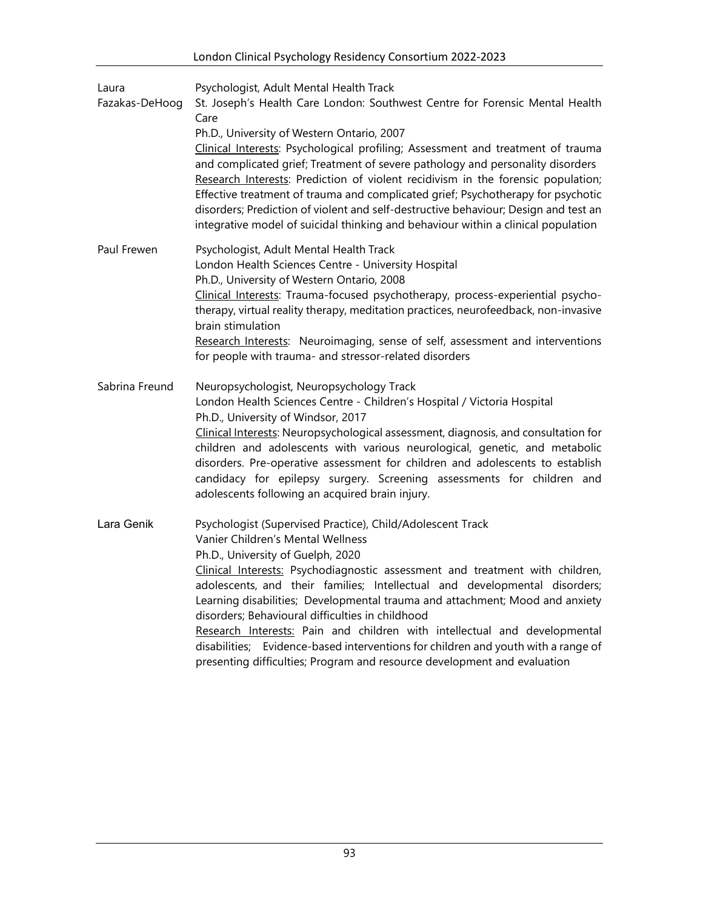| Laura<br>Fazakas-DeHoog | Psychologist, Adult Mental Health Track<br>St. Joseph's Health Care London: Southwest Centre for Forensic Mental Health<br>Care<br>Ph.D., University of Western Ontario, 2007<br>Clinical Interests: Psychological profiling; Assessment and treatment of trauma<br>and complicated grief; Treatment of severe pathology and personality disorders<br>Research Interests: Prediction of violent recidivism in the forensic population;<br>Effective treatment of trauma and complicated grief; Psychotherapy for psychotic<br>disorders; Prediction of violent and self-destructive behaviour; Design and test an<br>integrative model of suicidal thinking and behaviour within a clinical population |
|-------------------------|--------------------------------------------------------------------------------------------------------------------------------------------------------------------------------------------------------------------------------------------------------------------------------------------------------------------------------------------------------------------------------------------------------------------------------------------------------------------------------------------------------------------------------------------------------------------------------------------------------------------------------------------------------------------------------------------------------|
| Paul Frewen             | Psychologist, Adult Mental Health Track<br>London Health Sciences Centre - University Hospital<br>Ph.D., University of Western Ontario, 2008<br>Clinical Interests: Trauma-focused psychotherapy, process-experiential psycho-<br>therapy, virtual reality therapy, meditation practices, neurofeedback, non-invasive<br>brain stimulation<br>Research Interests: Neuroimaging, sense of self, assessment and interventions<br>for people with trauma- and stressor-related disorders                                                                                                                                                                                                                  |
| Sabrina Freund          | Neuropsychologist, Neuropsychology Track<br>London Health Sciences Centre - Children's Hospital / Victoria Hospital<br>Ph.D., University of Windsor, 2017<br>Clinical Interests: Neuropsychological assessment, diagnosis, and consultation for<br>children and adolescents with various neurological, genetic, and metabolic<br>disorders. Pre-operative assessment for children and adolescents to establish<br>candidacy for epilepsy surgery. Screening assessments for children and<br>adolescents following an acquired brain injury.                                                                                                                                                            |
| Lara Genik              | Psychologist (Supervised Practice), Child/Adolescent Track<br>Vanier Children's Mental Wellness<br>Ph.D., University of Guelph, 2020<br>Clinical Interests: Psychodiagnostic assessment and treatment with children,<br>adolescents, and their families; Intellectual and developmental disorders;<br>Learning disabilities; Developmental trauma and attachment; Mood and anxiety<br>disorders; Behavioural difficulties in childhood<br>Research Interests: Pain and children with intellectual and developmental<br>disabilities; Evidence-based interventions for children and youth with a range of<br>presenting difficulties; Program and resource development and evaluation                   |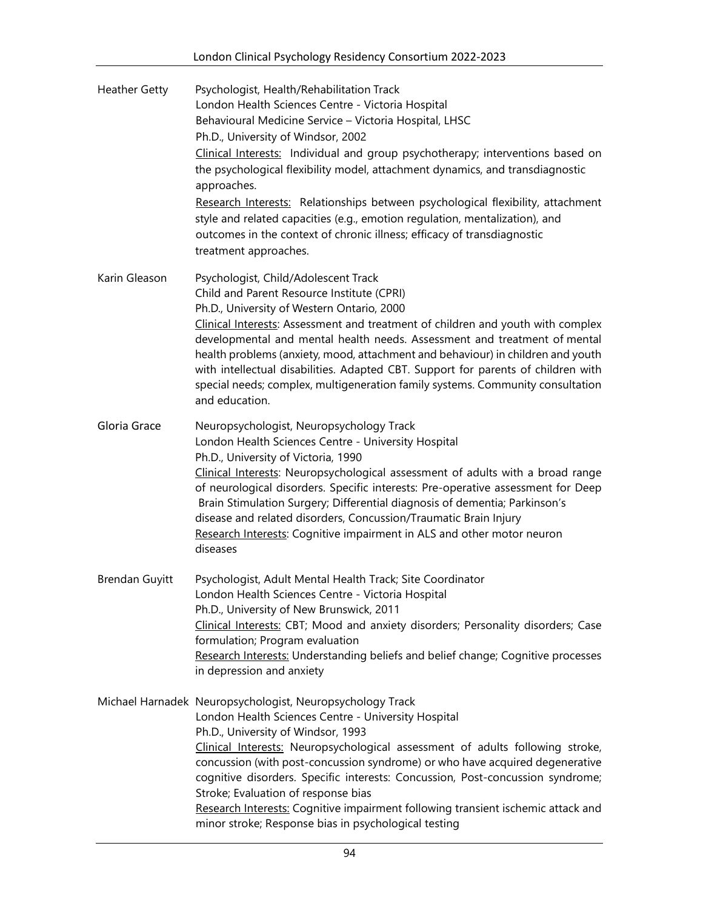| <b>Heather Getty</b>  | Psychologist, Health/Rehabilitation Track<br>London Health Sciences Centre - Victoria Hospital<br>Behavioural Medicine Service - Victoria Hospital, LHSC<br>Ph.D., University of Windsor, 2002<br>Clinical Interests: Individual and group psychotherapy; interventions based on<br>the psychological flexibility model, attachment dynamics, and transdiagnostic<br>approaches.<br>Research Interests: Relationships between psychological flexibility, attachment<br>style and related capacities (e.g., emotion regulation, mentalization), and<br>outcomes in the context of chronic illness; efficacy of transdiagnostic<br>treatment approaches. |
|-----------------------|--------------------------------------------------------------------------------------------------------------------------------------------------------------------------------------------------------------------------------------------------------------------------------------------------------------------------------------------------------------------------------------------------------------------------------------------------------------------------------------------------------------------------------------------------------------------------------------------------------------------------------------------------------|
| Karin Gleason         | Psychologist, Child/Adolescent Track<br>Child and Parent Resource Institute (CPRI)<br>Ph.D., University of Western Ontario, 2000<br>Clinical Interests: Assessment and treatment of children and youth with complex<br>developmental and mental health needs. Assessment and treatment of mental<br>health problems (anxiety, mood, attachment and behaviour) in children and youth<br>with intellectual disabilities. Adapted CBT. Support for parents of children with<br>special needs; complex, multigeneration family systems. Community consultation<br>and education.                                                                           |
| Gloria Grace          | Neuropsychologist, Neuropsychology Track<br>London Health Sciences Centre - University Hospital<br>Ph.D., University of Victoria, 1990<br>Clinical Interests: Neuropsychological assessment of adults with a broad range<br>of neurological disorders. Specific interests: Pre-operative assessment for Deep<br>Brain Stimulation Surgery; Differential diagnosis of dementia; Parkinson's<br>disease and related disorders, Concussion/Traumatic Brain Injury<br>Research Interests: Cognitive impairment in ALS and other motor neuron<br>diseases                                                                                                   |
| <b>Brendan Guyitt</b> | Psychologist, Adult Mental Health Track; Site Coordinator<br>London Health Sciences Centre - Victoria Hospital<br>Ph.D., University of New Brunswick, 2011<br>Clinical Interests: CBT; Mood and anxiety disorders; Personality disorders; Case<br>formulation; Program evaluation<br>Research Interests: Understanding beliefs and belief change; Cognitive processes<br>in depression and anxiety                                                                                                                                                                                                                                                     |
|                       | Michael Harnadek Neuropsychologist, Neuropsychology Track<br>London Health Sciences Centre - University Hospital<br>Ph.D., University of Windsor, 1993<br>Clinical Interests: Neuropsychological assessment of adults following stroke,<br>concussion (with post-concussion syndrome) or who have acquired degenerative<br>cognitive disorders. Specific interests: Concussion, Post-concussion syndrome;<br>Stroke; Evaluation of response bias<br>Research Interests: Cognitive impairment following transient ischemic attack and<br>minor stroke; Response bias in psychological testing                                                           |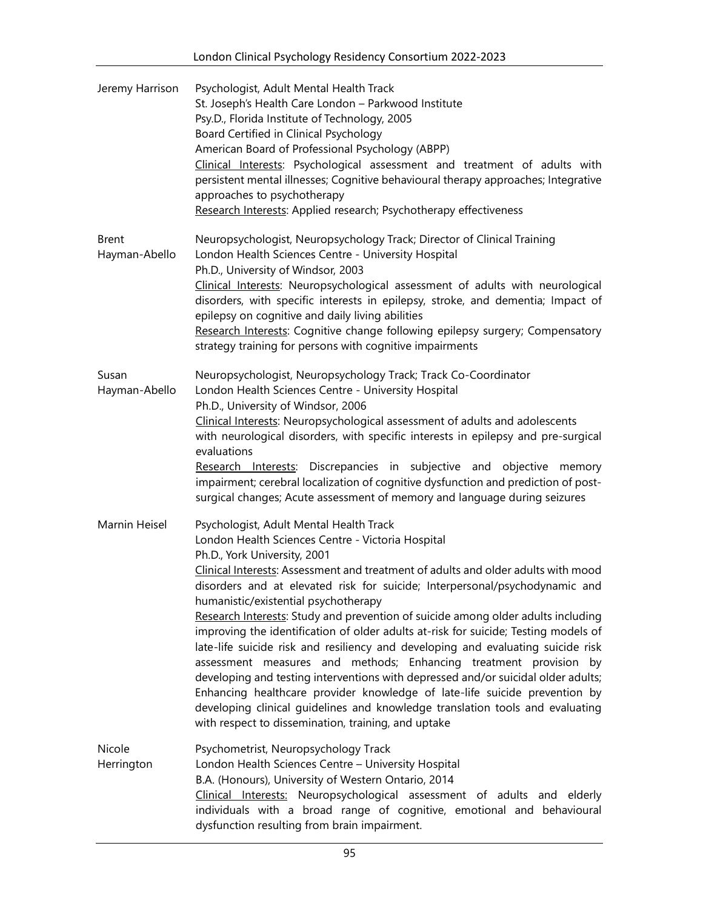| Jeremy Harrison               | Psychologist, Adult Mental Health Track<br>St. Joseph's Health Care London - Parkwood Institute<br>Psy.D., Florida Institute of Technology, 2005<br>Board Certified in Clinical Psychology<br>American Board of Professional Psychology (ABPP)<br>Clinical Interests: Psychological assessment and treatment of adults with<br>persistent mental illnesses; Cognitive behavioural therapy approaches; Integrative<br>approaches to psychotherapy<br>Research Interests: Applied research; Psychotherapy effectiveness                                                                                                                                                                                                                                                                                                                                                                                                                                                                   |
|-------------------------------|-----------------------------------------------------------------------------------------------------------------------------------------------------------------------------------------------------------------------------------------------------------------------------------------------------------------------------------------------------------------------------------------------------------------------------------------------------------------------------------------------------------------------------------------------------------------------------------------------------------------------------------------------------------------------------------------------------------------------------------------------------------------------------------------------------------------------------------------------------------------------------------------------------------------------------------------------------------------------------------------|
| <b>Brent</b><br>Hayman-Abello | Neuropsychologist, Neuropsychology Track; Director of Clinical Training<br>London Health Sciences Centre - University Hospital<br>Ph.D., University of Windsor, 2003<br>Clinical Interests: Neuropsychological assessment of adults with neurological<br>disorders, with specific interests in epilepsy, stroke, and dementia; Impact of<br>epilepsy on cognitive and daily living abilities<br>Research Interests: Cognitive change following epilepsy surgery; Compensatory<br>strategy training for persons with cognitive impairments                                                                                                                                                                                                                                                                                                                                                                                                                                               |
| Susan<br>Hayman-Abello        | Neuropsychologist, Neuropsychology Track; Track Co-Coordinator<br>London Health Sciences Centre - University Hospital<br>Ph.D., University of Windsor, 2006<br>Clinical Interests: Neuropsychological assessment of adults and adolescents<br>with neurological disorders, with specific interests in epilepsy and pre-surgical<br>evaluations<br>Research Interests: Discrepancies in subjective and objective<br>memory<br>impairment; cerebral localization of cognitive dysfunction and prediction of post-<br>surgical changes; Acute assessment of memory and language during seizures                                                                                                                                                                                                                                                                                                                                                                                            |
| Marnin Heisel                 | Psychologist, Adult Mental Health Track<br>London Health Sciences Centre - Victoria Hospital<br>Ph.D., York University, 2001<br>Clinical Interests: Assessment and treatment of adults and older adults with mood<br>disorders and at elevated risk for suicide; Interpersonal/psychodynamic and<br>humanistic/existential psychotherapy<br>Research Interests: Study and prevention of suicide among older adults including<br>improving the identification of older adults at-risk for suicide; Testing models of<br>late-life suicide risk and resiliency and developing and evaluating suicide risk<br>assessment measures and methods; Enhancing treatment provision by<br>developing and testing interventions with depressed and/or suicidal older adults;<br>Enhancing healthcare provider knowledge of late-life suicide prevention by<br>developing clinical guidelines and knowledge translation tools and evaluating<br>with respect to dissemination, training, and uptake |
| Nicole<br>Herrington          | Psychometrist, Neuropsychology Track<br>London Health Sciences Centre - University Hospital<br>B.A. (Honours), University of Western Ontario, 2014<br>Clinical Interests: Neuropsychological assessment of adults and elderly<br>individuals with a broad range of cognitive, emotional and behavioural<br>dysfunction resulting from brain impairment.                                                                                                                                                                                                                                                                                                                                                                                                                                                                                                                                                                                                                                 |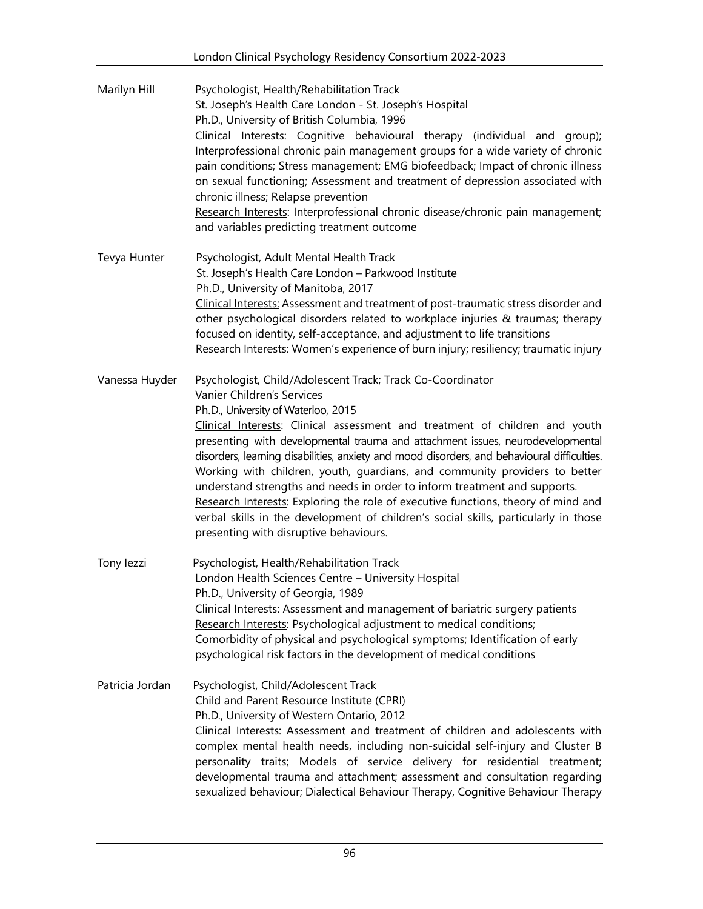| Marilyn Hill    | Psychologist, Health/Rehabilitation Track<br>St. Joseph's Health Care London - St. Joseph's Hospital<br>Ph.D., University of British Columbia, 1996<br>Clinical Interests: Cognitive behavioural therapy (individual and group);<br>Interprofessional chronic pain management groups for a wide variety of chronic<br>pain conditions; Stress management; EMG biofeedback; Impact of chronic illness<br>on sexual functioning; Assessment and treatment of depression associated with<br>chronic illness; Relapse prevention<br>Research Interests: Interprofessional chronic disease/chronic pain management;<br>and variables predicting treatment outcome                                                                                                                     |
|-----------------|----------------------------------------------------------------------------------------------------------------------------------------------------------------------------------------------------------------------------------------------------------------------------------------------------------------------------------------------------------------------------------------------------------------------------------------------------------------------------------------------------------------------------------------------------------------------------------------------------------------------------------------------------------------------------------------------------------------------------------------------------------------------------------|
| Tevya Hunter    | Psychologist, Adult Mental Health Track<br>St. Joseph's Health Care London - Parkwood Institute<br>Ph.D., University of Manitoba, 2017<br>Clinical Interests: Assessment and treatment of post-traumatic stress disorder and<br>other psychological disorders related to workplace injuries & traumas; therapy<br>focused on identity, self-acceptance, and adjustment to life transitions<br>Research Interests: Women's experience of burn injury; resiliency; traumatic injury                                                                                                                                                                                                                                                                                                |
| Vanessa Huyder  | Psychologist, Child/Adolescent Track; Track Co-Coordinator<br>Vanier Children's Services<br>Ph.D., University of Waterloo, 2015<br>Clinical Interests: Clinical assessment and treatment of children and youth<br>presenting with developmental trauma and attachment issues, neurodevelopmental<br>disorders, learning disabilities, anxiety and mood disorders, and behavioural difficulties.<br>Working with children, youth, guardians, and community providers to better<br>understand strengths and needs in order to inform treatment and supports.<br>Research Interests: Exploring the role of executive functions, theory of mind and<br>verbal skills in the development of children's social skills, particularly in those<br>presenting with disruptive behaviours. |
| Tony lezzi      | Psychologist, Health/Rehabilitation Track<br>London Health Sciences Centre - University Hospital<br>Ph.D., University of Georgia, 1989<br>Clinical Interests: Assessment and management of bariatric surgery patients<br>Research Interests: Psychological adjustment to medical conditions;<br>Comorbidity of physical and psychological symptoms; Identification of early<br>psychological risk factors in the development of medical conditions                                                                                                                                                                                                                                                                                                                               |
| Patricia Jordan | Psychologist, Child/Adolescent Track<br>Child and Parent Resource Institute (CPRI)<br>Ph.D., University of Western Ontario, 2012<br>Clinical Interests: Assessment and treatment of children and adolescents with<br>complex mental health needs, including non-suicidal self-injury and Cluster B<br>personality traits; Models of service delivery for residential treatment;<br>developmental trauma and attachment; assessment and consultation regarding<br>sexualized behaviour; Dialectical Behaviour Therapy, Cognitive Behaviour Therapy                                                                                                                                                                                                                                |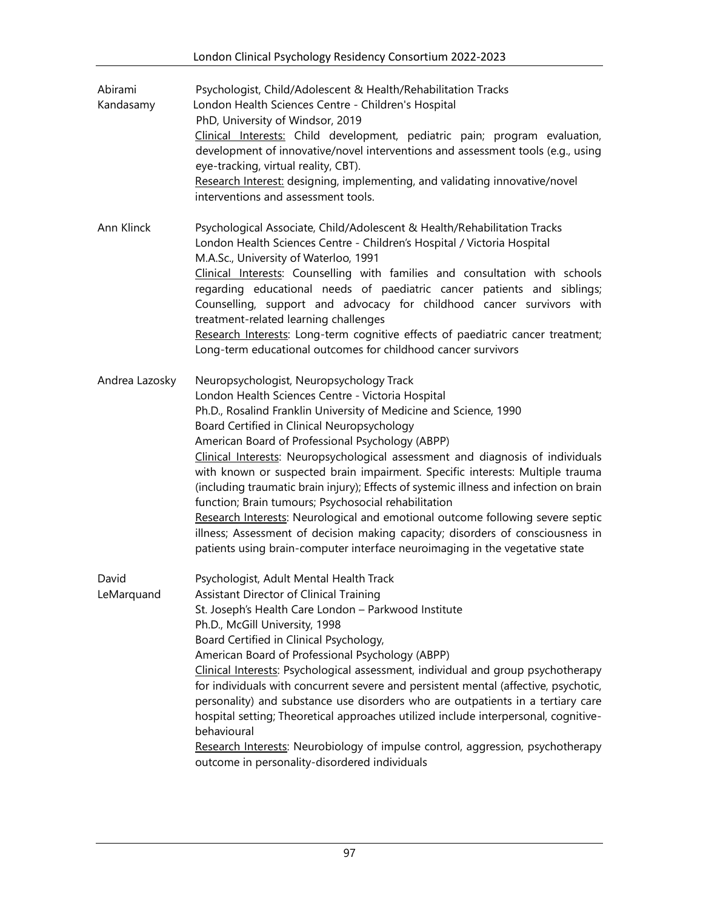| Abirami<br>Kandasamy | Psychologist, Child/Adolescent & Health/Rehabilitation Tracks<br>London Health Sciences Centre - Children's Hospital<br>PhD, University of Windsor, 2019<br>Clinical Interests: Child development, pediatric pain; program evaluation,<br>development of innovative/novel interventions and assessment tools (e.g., using<br>eye-tracking, virtual reality, CBT).<br>Research Interest: designing, implementing, and validating innovative/novel<br>interventions and assessment tools.                                                                                                                                                                                                                                                                                                                                                        |
|----------------------|------------------------------------------------------------------------------------------------------------------------------------------------------------------------------------------------------------------------------------------------------------------------------------------------------------------------------------------------------------------------------------------------------------------------------------------------------------------------------------------------------------------------------------------------------------------------------------------------------------------------------------------------------------------------------------------------------------------------------------------------------------------------------------------------------------------------------------------------|
| Ann Klinck           | Psychological Associate, Child/Adolescent & Health/Rehabilitation Tracks<br>London Health Sciences Centre - Children's Hospital / Victoria Hospital<br>M.A.Sc., University of Waterloo, 1991<br>Clinical Interests: Counselling with families and consultation with schools<br>regarding educational needs of paediatric cancer patients and siblings;<br>Counselling, support and advocacy for childhood cancer survivors with<br>treatment-related learning challenges<br>Research Interests: Long-term cognitive effects of paediatric cancer treatment;<br>Long-term educational outcomes for childhood cancer survivors                                                                                                                                                                                                                   |
| Andrea Lazosky       | Neuropsychologist, Neuropsychology Track<br>London Health Sciences Centre - Victoria Hospital<br>Ph.D., Rosalind Franklin University of Medicine and Science, 1990<br>Board Certified in Clinical Neuropsychology<br>American Board of Professional Psychology (ABPP)<br>Clinical Interests: Neuropsychological assessment and diagnosis of individuals<br>with known or suspected brain impairment. Specific interests: Multiple trauma<br>(including traumatic brain injury); Effects of systemic illness and infection on brain<br>function; Brain tumours; Psychosocial rehabilitation<br>Research Interests: Neurological and emotional outcome following severe septic<br>illness; Assessment of decision making capacity; disorders of consciousness in<br>patients using brain-computer interface neuroimaging in the vegetative state |
| David<br>LeMarquand  | Psychologist, Adult Mental Health Track<br>Assistant Director of Clinical Training<br>St. Joseph's Health Care London - Parkwood Institute<br>Ph.D., McGill University, 1998<br>Board Certified in Clinical Psychology,<br>American Board of Professional Psychology (ABPP)<br>Clinical Interests: Psychological assessment, individual and group psychotherapy<br>for individuals with concurrent severe and persistent mental (affective, psychotic,<br>personality) and substance use disorders who are outpatients in a tertiary care<br>hospital setting; Theoretical approaches utilized include interpersonal, cognitive-<br>behavioural<br>Research Interests: Neurobiology of impulse control, aggression, psychotherapy<br>outcome in personality-disordered individuals                                                             |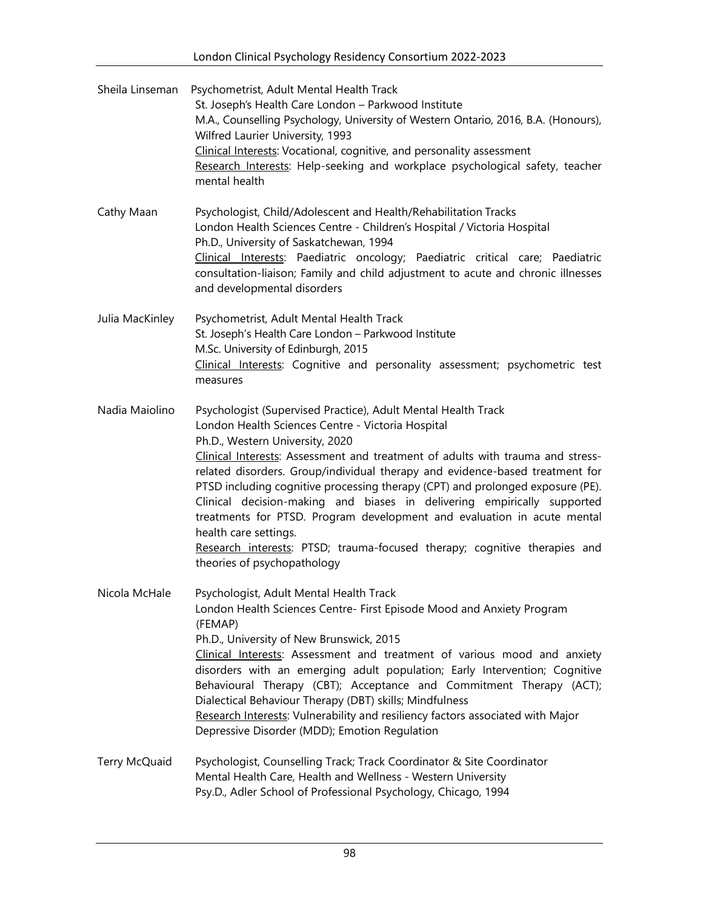| Sheila Linseman | Psychometrist, Adult Mental Health Track<br>St. Joseph's Health Care London - Parkwood Institute<br>M.A., Counselling Psychology, University of Western Ontario, 2016, B.A. (Honours),<br>Wilfred Laurier University, 1993<br>Clinical Interests: Vocational, cognitive, and personality assessment<br>Research Interests: Help-seeking and workplace psychological safety, teacher<br>mental health                                                                                                                                                                                                                                                                                                 |
|-----------------|------------------------------------------------------------------------------------------------------------------------------------------------------------------------------------------------------------------------------------------------------------------------------------------------------------------------------------------------------------------------------------------------------------------------------------------------------------------------------------------------------------------------------------------------------------------------------------------------------------------------------------------------------------------------------------------------------|
| Cathy Maan      | Psychologist, Child/Adolescent and Health/Rehabilitation Tracks<br>London Health Sciences Centre - Children's Hospital / Victoria Hospital<br>Ph.D., University of Saskatchewan, 1994<br>Clinical Interests: Paediatric oncology; Paediatric critical care; Paediatric<br>consultation-liaison; Family and child adjustment to acute and chronic illnesses<br>and developmental disorders                                                                                                                                                                                                                                                                                                            |
| Julia MacKinley | Psychometrist, Adult Mental Health Track<br>St. Joseph's Health Care London - Parkwood Institute<br>M.Sc. University of Edinburgh, 2015<br>Clinical Interests: Cognitive and personality assessment; psychometric test<br>measures                                                                                                                                                                                                                                                                                                                                                                                                                                                                   |
| Nadia Maiolino  | Psychologist (Supervised Practice), Adult Mental Health Track<br>London Health Sciences Centre - Victoria Hospital<br>Ph.D., Western University, 2020<br>Clinical Interests: Assessment and treatment of adults with trauma and stress-<br>related disorders. Group/individual therapy and evidence-based treatment for<br>PTSD including cognitive processing therapy (CPT) and prolonged exposure (PE).<br>Clinical decision-making and biases in delivering empirically supported<br>treatments for PTSD. Program development and evaluation in acute mental<br>health care settings.<br>Research interests: PTSD; trauma-focused therapy; cognitive therapies and<br>theories of psychopathology |
| Nicola McHale   | Psychologist, Adult Mental Health Track<br>London Health Sciences Centre- First Episode Mood and Anxiety Program<br>(FEMAP)<br>Ph.D., University of New Brunswick, 2015<br>Clinical Interests: Assessment and treatment of various mood and anxiety<br>disorders with an emerging adult population; Early Intervention; Cognitive<br>Behavioural Therapy (CBT); Acceptance and Commitment Therapy (ACT);<br>Dialectical Behaviour Therapy (DBT) skills; Mindfulness<br>Research Interests: Vulnerability and resiliency factors associated with Major<br>Depressive Disorder (MDD); Emotion Regulation                                                                                               |
| Terry McQuaid   | Psychologist, Counselling Track; Track Coordinator & Site Coordinator<br>Mental Health Care, Health and Wellness - Western University<br>Psy.D., Adler School of Professional Psychology, Chicago, 1994                                                                                                                                                                                                                                                                                                                                                                                                                                                                                              |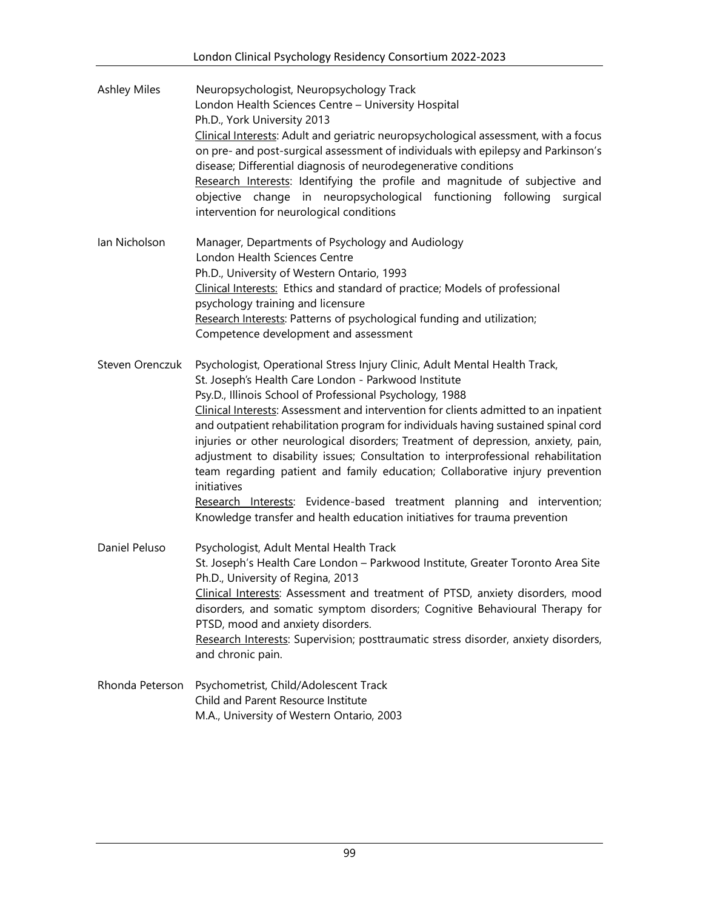| <b>Ashley Miles</b> | Neuropsychologist, Neuropsychology Track<br>London Health Sciences Centre - University Hospital<br>Ph.D., York University 2013<br>Clinical Interests: Adult and geriatric neuropsychological assessment, with a focus<br>on pre- and post-surgical assessment of individuals with epilepsy and Parkinson's<br>disease; Differential diagnosis of neurodegenerative conditions<br>Research Interests: Identifying the profile and magnitude of subjective and<br>objective change in neuropsychological functioning following<br>surgical<br>intervention for neurological conditions                                                                                                                                                                                                                          |
|---------------------|---------------------------------------------------------------------------------------------------------------------------------------------------------------------------------------------------------------------------------------------------------------------------------------------------------------------------------------------------------------------------------------------------------------------------------------------------------------------------------------------------------------------------------------------------------------------------------------------------------------------------------------------------------------------------------------------------------------------------------------------------------------------------------------------------------------|
| lan Nicholson       | Manager, Departments of Psychology and Audiology<br>London Health Sciences Centre<br>Ph.D., University of Western Ontario, 1993<br>Clinical Interests: Ethics and standard of practice; Models of professional<br>psychology training and licensure<br>Research Interests: Patterns of psychological funding and utilization;<br>Competence development and assessment                                                                                                                                                                                                                                                                                                                                                                                                                                        |
| Steven Orenczuk     | Psychologist, Operational Stress Injury Clinic, Adult Mental Health Track,<br>St. Joseph's Health Care London - Parkwood Institute<br>Psy.D., Illinois School of Professional Psychology, 1988<br>Clinical Interests: Assessment and intervention for clients admitted to an inpatient<br>and outpatient rehabilitation program for individuals having sustained spinal cord<br>injuries or other neurological disorders; Treatment of depression, anxiety, pain,<br>adjustment to disability issues; Consultation to interprofessional rehabilitation<br>team regarding patient and family education; Collaborative injury prevention<br>initiatives<br>Research Interests: Evidence-based treatment planning and intervention;<br>Knowledge transfer and health education initiatives for trauma prevention |
| Daniel Peluso       | Psychologist, Adult Mental Health Track<br>St. Joseph's Health Care London - Parkwood Institute, Greater Toronto Area Site<br>Ph.D., University of Regina, 2013<br>Clinical Interests: Assessment and treatment of PTSD, anxiety disorders, mood<br>disorders, and somatic symptom disorders; Cognitive Behavioural Therapy for<br>PTSD, mood and anxiety disorders.<br>Research Interests: Supervision; posttraumatic stress disorder, anxiety disorders,<br>and chronic pain.                                                                                                                                                                                                                                                                                                                               |
| Rhonda Peterson     | Psychometrist, Child/Adolescent Track<br>Child and Parent Resource Institute<br>M.A., University of Western Ontario, 2003                                                                                                                                                                                                                                                                                                                                                                                                                                                                                                                                                                                                                                                                                     |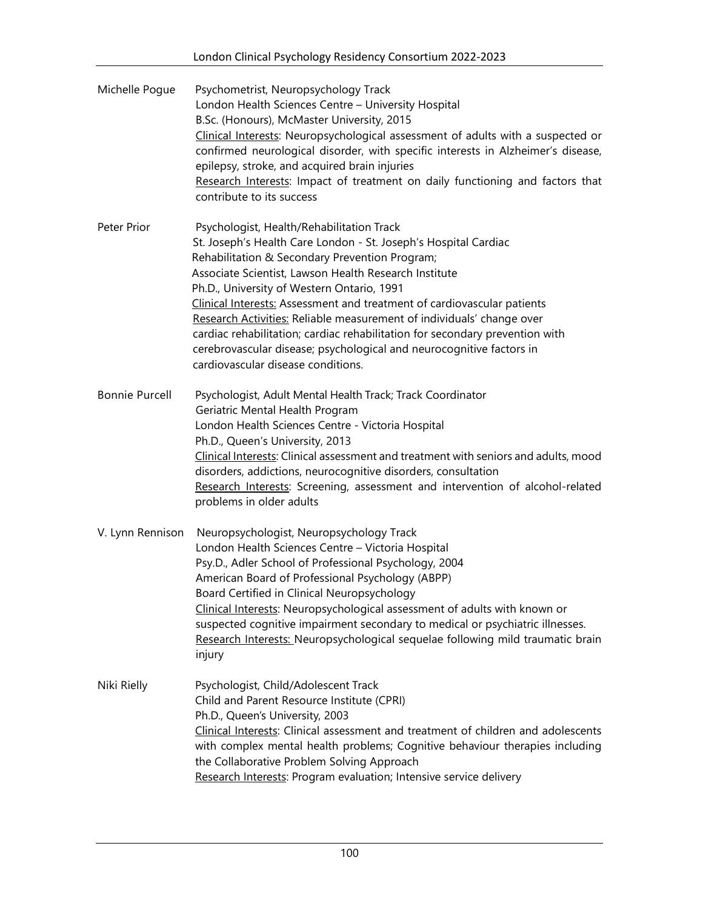| Michelle Pogue        | Psychometrist, Neuropsychology Track<br>London Health Sciences Centre - University Hospital<br>B.Sc. (Honours), McMaster University, 2015<br>Clinical Interests: Neuropsychological assessment of adults with a suspected or<br>confirmed neurological disorder, with specific interests in Alzheimer's disease,<br>epilepsy, stroke, and acquired brain injuries<br>Research Interests: Impact of treatment on daily functioning and factors that<br>contribute to its success                                                                                                                                         |
|-----------------------|-------------------------------------------------------------------------------------------------------------------------------------------------------------------------------------------------------------------------------------------------------------------------------------------------------------------------------------------------------------------------------------------------------------------------------------------------------------------------------------------------------------------------------------------------------------------------------------------------------------------------|
| Peter Prior           | Psychologist, Health/Rehabilitation Track<br>St. Joseph's Health Care London - St. Joseph's Hospital Cardiac<br>Rehabilitation & Secondary Prevention Program;<br>Associate Scientist, Lawson Health Research Institute<br>Ph.D., University of Western Ontario, 1991<br>Clinical Interests: Assessment and treatment of cardiovascular patients<br>Research Activities: Reliable measurement of individuals' change over<br>cardiac rehabilitation; cardiac rehabilitation for secondary prevention with<br>cerebrovascular disease; psychological and neurocognitive factors in<br>cardiovascular disease conditions. |
| <b>Bonnie Purcell</b> | Psychologist, Adult Mental Health Track; Track Coordinator<br>Geriatric Mental Health Program<br>London Health Sciences Centre - Victoria Hospital<br>Ph.D., Queen's University, 2013<br>Clinical Interests: Clinical assessment and treatment with seniors and adults, mood<br>disorders, addictions, neurocognitive disorders, consultation<br>Research Interests: Screening, assessment and intervention of alcohol-related<br>problems in older adults                                                                                                                                                              |
| V. Lynn Rennison      | Neuropsychologist, Neuropsychology Track<br>London Health Sciences Centre - Victoria Hospital<br>Psy.D., Adler School of Professional Psychology, 2004<br>American Board of Professional Psychology (ABPP)<br>Board Certified in Clinical Neuropsychology<br>Clinical Interests: Neuropsychological assessment of adults with known or<br>suspected cognitive impairment secondary to medical or psychiatric illnesses.<br>Research Interests: Neuropsychological sequelae following mild traumatic brain<br>injury                                                                                                     |
| Niki Rielly           | Psychologist, Child/Adolescent Track<br>Child and Parent Resource Institute (CPRI)<br>Ph.D., Queen's University, 2003<br>Clinical Interests: Clinical assessment and treatment of children and adolescents<br>with complex mental health problems; Cognitive behaviour therapies including<br>the Collaborative Problem Solving Approach<br>Research Interests: Program evaluation; Intensive service delivery                                                                                                                                                                                                          |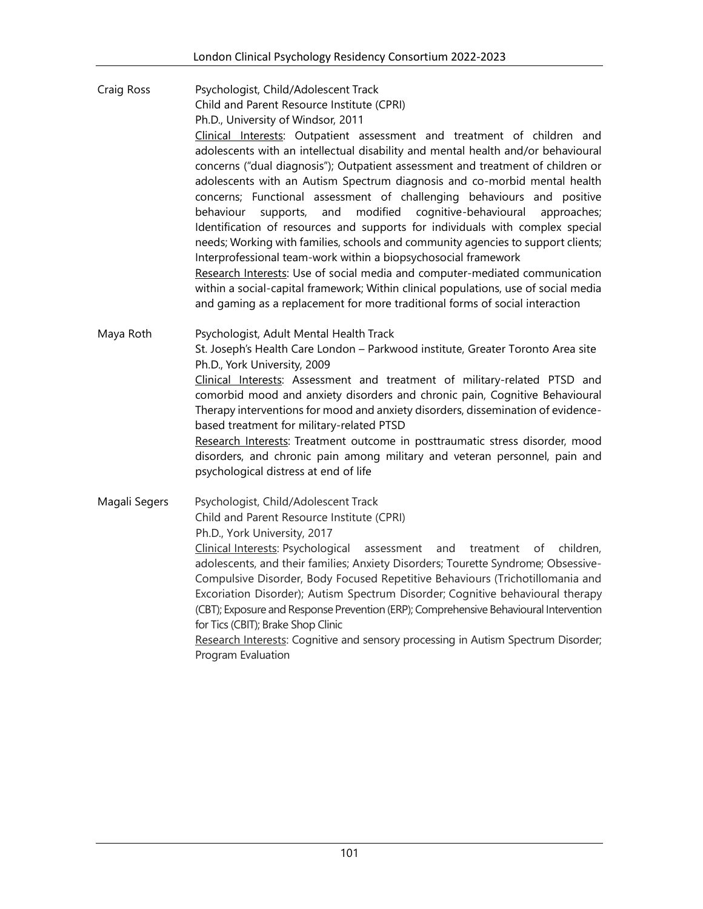Craig Ross Psychologist, Child/Adolescent Track Child and Parent Resource Institute (CPRI) Ph.D., University of Windsor, 2011 Clinical Interests: Outpatient assessment and treatment of children and adolescents with an intellectual disability and mental health and/or behavioural concerns ("dual diagnosis"); Outpatient assessment and treatment of children or adolescents with an Autism Spectrum diagnosis and co-morbid mental health concerns; Functional assessment of challenging behaviours and positive behaviour supports, and modified cognitive-behavioural approaches; Identification of resources and supports for individuals with complex special needs; Working with families, schools and community agencies to support clients; Interprofessional team-work within a biopsychosocial framework Research Interests: Use of social media and computer-mediated communication within a social-capital framework; Within clinical populations, use of social media and gaming as a replacement for more traditional forms of social interaction Maya Roth Psychologist, Adult Mental Health Track St. Joseph's Health Care London – Parkwood institute, Greater Toronto Area site Ph.D., York University, 2009 Clinical Interests: Assessment and treatment of military-related PTSD and comorbid mood and anxiety disorders and chronic pain, Cognitive Behavioural Therapy interventions for mood and anxiety disorders, dissemination of evidencebased treatment for military-related PTSD Research Interests: Treatment outcome in posttraumatic stress disorder, mood disorders, and chronic pain among military and veteran personnel, pain and psychological distress at end of life Magali Segers Psychologist, Child/Adolescent Track Child and Parent Resource Institute (CPRI) Ph.D., York University, 2017 Clinical Interests: Psychological assessment and treatment of children, adolescents, and their families; Anxiety Disorders; Tourette Syndrome; Obsessive-Compulsive Disorder, Body Focused Repetitive Behaviours (Trichotillomania and

> Excoriation Disorder); Autism Spectrum Disorder; Cognitive behavioural therapy (CBT); Exposure and Response Prevention (ERP); Comprehensive Behavioural Intervention for Tics (CBIT); Brake Shop Clinic

Research Interests: Cognitive and sensory processing in Autism Spectrum Disorder; Program Evaluation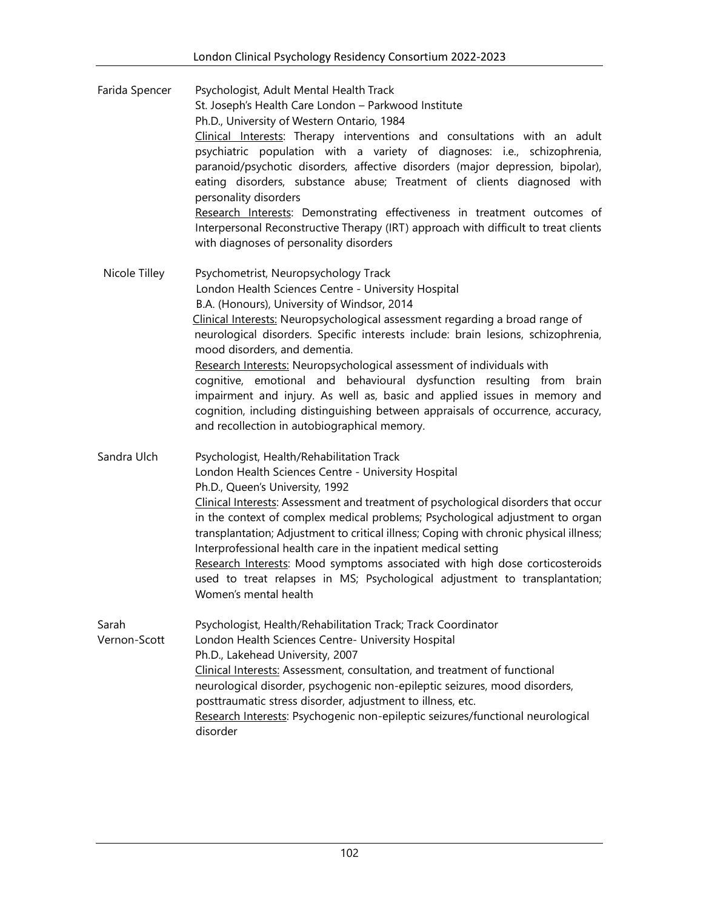| Farida Spencer        | Psychologist, Adult Mental Health Track<br>St. Joseph's Health Care London - Parkwood Institute<br>Ph.D., University of Western Ontario, 1984<br>Clinical Interests: Therapy interventions and consultations with an adult<br>psychiatric population with a variety of diagnoses: i.e., schizophrenia,<br>paranoid/psychotic disorders, affective disorders (major depression, bipolar),<br>eating disorders, substance abuse; Treatment of clients diagnosed with<br>personality disorders<br>Research Interests: Demonstrating effectiveness in treatment outcomes of<br>Interpersonal Reconstructive Therapy (IRT) approach with difficult to treat clients<br>with diagnoses of personality disorders          |
|-----------------------|--------------------------------------------------------------------------------------------------------------------------------------------------------------------------------------------------------------------------------------------------------------------------------------------------------------------------------------------------------------------------------------------------------------------------------------------------------------------------------------------------------------------------------------------------------------------------------------------------------------------------------------------------------------------------------------------------------------------|
| Nicole Tilley         | Psychometrist, Neuropsychology Track<br>London Health Sciences Centre - University Hospital<br>B.A. (Honours), University of Windsor, 2014<br>Clinical Interests: Neuropsychological assessment regarding a broad range of<br>neurological disorders. Specific interests include: brain lesions, schizophrenia,<br>mood disorders, and dementia.<br>Research Interests: Neuropsychological assessment of individuals with<br>cognitive, emotional and behavioural dysfunction resulting from brain<br>impairment and injury. As well as, basic and applied issues in memory and<br>cognition, including distinguishing between appraisals of occurrence, accuracy,<br>and recollection in autobiographical memory. |
| Sandra Ulch           | Psychologist, Health/Rehabilitation Track<br>London Health Sciences Centre - University Hospital<br>Ph.D., Queen's University, 1992<br>Clinical Interests: Assessment and treatment of psychological disorders that occur<br>in the context of complex medical problems; Psychological adjustment to organ<br>transplantation; Adjustment to critical illness; Coping with chronic physical illness;<br>Interprofessional health care in the inpatient medical setting<br>Research Interests: Mood symptoms associated with high dose corticosteroids<br>used to treat relapses in MS; Psychological adjustment to transplantation;<br>Women's mental health                                                       |
| Sarah<br>Vernon-Scott | Psychologist, Health/Rehabilitation Track; Track Coordinator<br>London Health Sciences Centre- University Hospital<br>Ph.D., Lakehead University, 2007<br>Clinical Interests: Assessment, consultation, and treatment of functional<br>neurological disorder, psychogenic non-epileptic seizures, mood disorders,<br>posttraumatic stress disorder, adjustment to illness, etc.<br>Research Interests: Psychogenic non-epileptic seizures/functional neurological<br>disorder                                                                                                                                                                                                                                      |